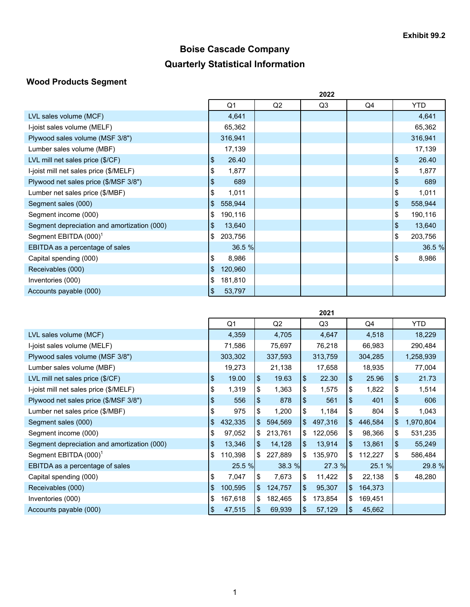# **Boise Cascade Company Quarterly Statistical Information**

## **Wood Products Segment**

|                                             | 2022 |         |                |    |    |      |            |  |  |  |  |
|---------------------------------------------|------|---------|----------------|----|----|------|------------|--|--|--|--|
|                                             |      | Q1      | Q <sub>2</sub> | Q3 | Q4 |      | <b>YTD</b> |  |  |  |  |
| LVL sales volume (MCF)                      |      | 4,641   |                |    |    |      | 4,641      |  |  |  |  |
| I-joist sales volume (MELF)                 |      | 65,362  |                |    |    |      | 65,362     |  |  |  |  |
| Plywood sales volume (MSF 3/8")             |      | 316,941 |                |    |    |      | 316,941    |  |  |  |  |
| Lumber sales volume (MBF)                   |      | 17,139  |                |    |    |      | 17,139     |  |  |  |  |
| LVL mill net sales price (\$/CF)            | \$   | 26.40   |                |    |    | \$   | 26.40      |  |  |  |  |
| I-joist mill net sales price (\$/MELF)      | \$   | 1,877   |                |    |    | \$   | 1,877      |  |  |  |  |
| Plywood net sales price (\$/MSF 3/8")       | \$   | 689     |                |    |    | \$   | 689        |  |  |  |  |
| Lumber net sales price (\$/MBF)             | \$   | 1,011   |                |    |    | \$   | 1,011      |  |  |  |  |
| Segment sales (000)                         | \$   | 558,944 |                |    |    | $\,$ | 558,944    |  |  |  |  |
| Segment income (000)                        | \$   | 190,116 |                |    |    | \$   | 190,116    |  |  |  |  |
| Segment depreciation and amortization (000) | \$   | 13,640  |                |    |    | \$   | 13,640     |  |  |  |  |
| Segment EBITDA (000) <sup>1</sup>           | \$   | 203,756 |                |    |    | \$   | 203,756    |  |  |  |  |
| EBITDA as a percentage of sales             |      | 36.5%   |                |    |    |      | 36.5 %     |  |  |  |  |
| Capital spending (000)                      | \$   | 8,986   |                |    |    | \$   | 8,986      |  |  |  |  |
| Receivables (000)                           | \$   | 120,960 |                |    |    |      |            |  |  |  |  |
| Inventories (000)                           | \$   | 181,810 |                |    |    |      |            |  |  |  |  |
| Accounts payable (000)                      | \$   | 53,797  |                |    |    |      |            |  |  |  |  |

|                                             | 2021 |                |    |         |      |         |                |         |              |           |  |  |  |
|---------------------------------------------|------|----------------|----|---------|------|---------|----------------|---------|--------------|-----------|--|--|--|
|                                             |      | Q <sub>1</sub> |    | Q2      |      | Q3      |                | Q4      |              | YTD       |  |  |  |
| LVL sales volume (MCF)                      |      | 4,359          |    | 4,705   |      | 4,647   |                | 4,518   |              | 18,229    |  |  |  |
| I-joist sales volume (MELF)                 |      | 71,586         |    | 75,697  |      | 76,218  |                | 66,983  |              | 290,484   |  |  |  |
| Plywood sales volume (MSF 3/8")             |      | 303,302        |    | 337,593 |      | 313,759 |                | 304,285 |              | 1,258,939 |  |  |  |
| Lumber sales volume (MBF)                   |      | 19,273         |    | 21,138  |      | 17,658  |                | 18,935  |              | 77,004    |  |  |  |
| LVL mill net sales price (\$/CF)            | \$   | 19.00          | \$ | 19.63   | \$   | 22.30   | \$             | 25.96   | \$           | 21.73     |  |  |  |
| I-joist mill net sales price (\$/MELF)      | \$   | 1,319          | \$ | 1,363   | \$   | 1,575   | \$             | 1,822   | \$           | 1,514     |  |  |  |
| Plywood net sales price (\$/MSF 3/8")       | \$   | 556            | \$ | 878     | \$   | 561     | \$             | 401     | \$           | 606       |  |  |  |
| Lumber net sales price (\$/MBF)             | \$   | 975            | \$ | 1,200   | \$   | 1,184   | \$             | 804     | \$           | 1,043     |  |  |  |
| Segment sales (000)                         | \$   | 432,335        | \$ | 594,569 | ۱\$  | 497,316 | $\mathfrak{S}$ | 446,584 | $\mathbb{S}$ | 1,970,804 |  |  |  |
| Segment income (000)                        | \$   | 97,052         | \$ | 213,761 | \$   | 122,056 | \$             | 98,366  | \$           | 531,235   |  |  |  |
| Segment depreciation and amortization (000) | \$   | 13,346         | \$ | 14,128  | \$   | 13,914  | \$             | 13,861  | \$           | 55,249    |  |  |  |
| Segment EBITDA (000) <sup>1</sup>           | \$   | 110,398        | \$ | 227,889 | S.   | 135,970 | \$             | 112,227 | \$           | 586,484   |  |  |  |
| EBITDA as a percentage of sales             |      | 25.5 %         |    | 38.3%   |      | 27.3 %  |                | 25.1 %  |              | 29.8 %    |  |  |  |
| Capital spending (000)                      | \$   | 7,047          | \$ | 7,673   | 1\$  | 11,422  | \$             | 22,138  | \$           | 48,280    |  |  |  |
| Receivables (000)                           | \$   | 100,595        | \$ | 124,757 | \$   | 95,307  | $\mathfrak{S}$ | 164,373 |              |           |  |  |  |
| Inventories (000)                           | \$   | 167,618        | \$ | 182,465 | \$   | 173,854 | \$             | 169,451 |              |           |  |  |  |
| Accounts payable (000)                      | \$   | 47,515         | \$ | 69,939  | l \$ | 57,129  | \$             | 45,662  |              |           |  |  |  |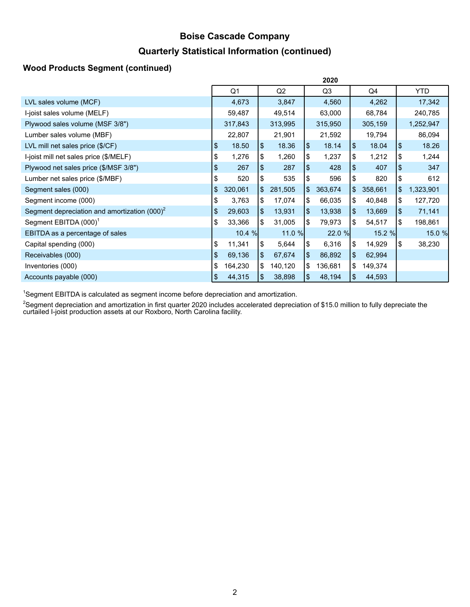## **Boise Cascade Company**

### **Quarterly Statistical Information (continued)**

### **Wood Products Segment (continued)**

|                                                 | 2020 |                |    |         |    |         |            |         |            |            |  |  |
|-------------------------------------------------|------|----------------|----|---------|----|---------|------------|---------|------------|------------|--|--|
|                                                 |      | Q <sub>1</sub> |    | Q2      |    | Q3      |            | Q4      |            | <b>YTD</b> |  |  |
| LVL sales volume (MCF)                          |      | 4,673          |    | 3,847   |    | 4,560   |            | 4,262   |            | 17,342     |  |  |
| I-joist sales volume (MELF)                     |      | 59,487         |    | 49,514  |    | 63,000  |            | 68,784  |            | 240,785    |  |  |
| Plywood sales volume (MSF 3/8")                 |      | 317,843        |    | 313,995 |    | 315,950 |            | 305,159 |            | 1,252,947  |  |  |
| Lumber sales volume (MBF)                       |      | 22,807         |    | 21,901  |    | 21,592  |            | 19,794  |            | 86,094     |  |  |
| LVL mill net sales price (\$/CF)                | \$   | 18.50          | \$ | 18.36   | \$ | 18.14   | $\sqrt{3}$ | 18.04   | \$         | 18.26      |  |  |
| I-joist mill net sales price (\$/MELF)          | \$   | 1,276          | \$ | 1,260   | \$ | 1,237   | \$         | 1,212   | \$         | 1,244      |  |  |
| Plywood net sales price (\$/MSF 3/8")           | \$   | 267            | \$ | 287     | \$ | 428     | \$         | 407     | \$         | 347        |  |  |
| Lumber net sales price (\$/MBF)                 | \$   | 520            | \$ | 535     | \$ | 596     | \$         | 820     | Ι\$        | 612        |  |  |
| Segment sales (000)                             |      | 320,061        | \$ | 281,505 | \$ | 363,674 | \$         | 358,661 | \$         | 1,323,901  |  |  |
| Segment income (000)                            | \$   | 3,763          | \$ | 17,074  | \$ | 66,035  | \$         | 40,848  | \$         | 127,720    |  |  |
| Segment depreciation and amortization $(000)^2$ | \$   | 29,603         | \$ | 13,931  | \$ | 13,938  | $\sqrt{3}$ | 13,669  | $\sqrt{3}$ | 71,141     |  |  |
| Segment EBITDA (000) <sup>1</sup>               | \$   | 33,366         | \$ | 31,005  | \$ | 79,973  | \$         | 54,517  | l\$        | 198,861    |  |  |
| EBITDA as a percentage of sales                 |      | 10.4%          |    | 11.0%   |    | 22.0 %  |            | 15.2 %  |            | 15.0 %     |  |  |
| Capital spending (000)                          | \$   | 11,341         | \$ | 5,644   | \$ | 6,316   | \$         | 14,929  | \$         | 38,230     |  |  |
| Receivables (000)                               | \$   | 69,136         | \$ | 67,674  | \$ | 86,892  | \$         | 62,994  |            |            |  |  |
| Inventories (000)                               | \$   | 164,230        | \$ | 140,120 | \$ | 136,681 | \$         | 149,374 |            |            |  |  |
| Accounts payable (000)                          |      | 44,315         | \$ | 38,898  | \$ | 48,194  | \$         | 44,593  |            |            |  |  |

<sup>1</sup>Segment EBITDA is calculated as segment income before depreciation and amortization.

 $2$ Segment depreciation and amortization in first quarter 2020 includes accelerated depreciation of \$15.0 million to fully depreciate the curtailed I-joist production assets at our Roxboro, North Carolina facility.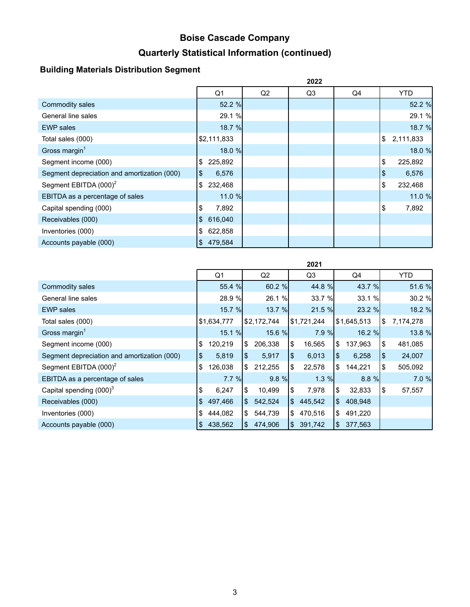# **Boise Cascade Company Quarterly Statistical Information (continued)**

## **Building Materials Distribution Segment**

|                                             |            |             |    | 2022 |    |                 |
|---------------------------------------------|------------|-------------|----|------|----|-----------------|
|                                             |            | Q1          | Q2 | Q3   | Q4 | <b>YTD</b>      |
| Commodity sales                             |            | 52.2 %      |    |      |    | 52.2 %          |
| General line sales                          |            | 29.1 %      |    |      |    | 29.1 %          |
| <b>EWP</b> sales                            |            | 18.7 %      |    |      |    | 18.7 %          |
| Total sales (000)                           |            | \$2,111,833 |    |      |    | \$<br>2,111,833 |
| Gross margin $1$                            |            | 18.0 %      |    |      |    | 18.0 %          |
| Segment income (000)                        | \$         | 225,892     |    |      |    | \$<br>225,892   |
| Segment depreciation and amortization (000) | $\sqrt{3}$ | 6,576       |    |      |    | \$<br>6,576     |
| Segment EBITDA (000) <sup>2</sup>           | \$         | 232,468     |    |      |    | \$<br>232,468   |
| EBITDA as a percentage of sales             |            | 11.0 %      |    |      |    | 11.0 %          |
| Capital spending (000)                      | \$         | 7,892       |    |      |    | \$<br>7,892     |
| Receivables (000)                           | \$         | 616,040     |    |      |    |                 |
| Inventories (000)                           | \$         | 622,858     |    |      |    |                 |
| Accounts payable (000)                      | \$         | 479,584     |    |      |    |                 |

|                                             | ZUZ I |               |     |                |                |             |      |             |     |           |  |  |
|---------------------------------------------|-------|---------------|-----|----------------|----------------|-------------|------|-------------|-----|-----------|--|--|
|                                             |       | Q1            |     | Q <sub>2</sub> |                | Q3          |      | Q4          |     | YTD.      |  |  |
| Commodity sales                             |       | 55.4 %        |     | $60.2 \%$      |                | 44.8 %      |      | 43.7 %      |     | 51.6 %    |  |  |
| General line sales                          |       | 28.9 %        |     | 26.1 %         |                | 33.7 %      |      | 33.1 %      |     | 30.2%     |  |  |
| <b>EWP</b> sales                            |       | <b>15.7 %</b> |     | 13.7 %         |                | 21.5%       |      | 23.2%       |     | 18.2 %    |  |  |
| Total sales (000)                           |       | \$1,634,777   |     | \$2,172,744    |                | \$1,721,244 |      | \$1,645,513 | 1\$ | 7,174,278 |  |  |
| Gross margin <sup>1</sup>                   |       | 15.1%         |     | 15.6 %         |                | $7.9 \%$    |      | 16.2%       |     | 13.8 %    |  |  |
| Segment income (000)                        | \$    | 120,219       | \$  | 206,338        | \$             | 16,565      | \$   | 137,963     | \$  | 481,085   |  |  |
| Segment depreciation and amortization (000) | \$    | 5,819         | \$  | 5.917          | $\mathfrak{L}$ | 6,013       | l \$ | 6,258       | \$  | 24,007    |  |  |
| Segment EBITDA (000) <sup>2</sup>           | \$    | 126,038       | \$  | 212,255        | \$             | 22,578      | 1\$  | 144,221     | \$  | 505,092   |  |  |
| EBITDA as a percentage of sales             |       | $7.7 \%$      |     | $9.8 \%$       |                | $1.3 \%$    |      | 8.8%        |     | 7.0%      |  |  |
| Capital spending $(000)^3$                  | \$    | 6,247         | \$  | 10,499         | \$             | 7,978       | 1\$  | 32,833      | 1\$ | 57,557    |  |  |
| Receivables (000)                           | \$    | 497,466       | \$  | 542,524        | $\mathbb{S}$   | 445,542     | I\$  | 408,948     |     |           |  |  |
| Inventories (000)                           | \$    | 444,082       | \$  | 544,739        | \$             | 470,516     | ۱\$  | 491,220     |     |           |  |  |
| Accounts payable (000)                      | \$    | 438,562       | \$. | 474,906        | $\mathbb{S}$   | 391,742     | 1\$  | 377,563     |     |           |  |  |

**2021**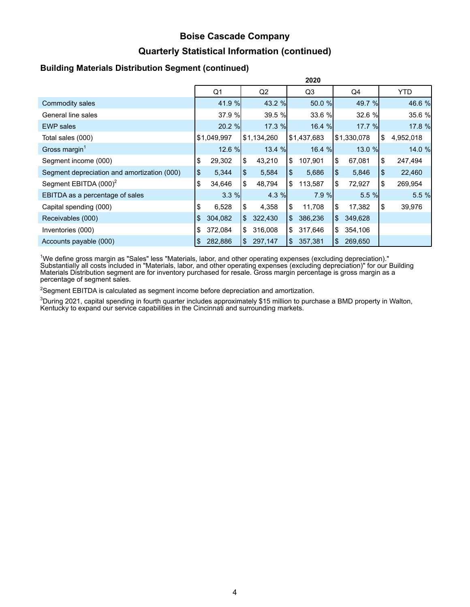## **Boise Cascade Company**

### **Quarterly Statistical Information (continued)**

#### **Building Materials Distribution Segment (continued)**

|                                             | 2020 |                |              |                |                |             |    |             |    |            |  |  |  |
|---------------------------------------------|------|----------------|--------------|----------------|----------------|-------------|----|-------------|----|------------|--|--|--|
|                                             |      | Q <sub>1</sub> |              | Q <sub>2</sub> |                | Q3          | Q4 |             |    | <b>YTD</b> |  |  |  |
| Commodity sales                             |      | 41.9 %         |              | 43.2 %         |                | 50.0 %      |    | 49.7 %      |    | 46.6 %     |  |  |  |
| General line sales                          |      | 37.9 %         |              | 39.5 %         |                | 33.6 %      |    | 32.6 %      |    | 35.6 %     |  |  |  |
| <b>EWP</b> sales                            |      | 20.2 %         |              | 17.3 %         |                | 16.4 %      |    | 17.7 %      |    | 17.8 %     |  |  |  |
| Total sales (000)                           |      | \$1,049,997    |              | \$1,134,260    |                | \$1,437,683 |    | \$1,330,078 | \$ | 4,952,018  |  |  |  |
| Gross margin <sup>1</sup>                   |      | 12.6 %         |              | 13.4 %         |                | 16.4%       |    | 13.0 %      |    | 14.0 %     |  |  |  |
| Segment income (000)                        | \$   | 29,302         | \$           | 43,210         | \$             | 107,901     | \$ | 67,081      | \$ | 247,494    |  |  |  |
| Segment depreciation and amortization (000) | \$   | 5,344          | \$.          | 5,584          | $\frac{1}{2}$  | 5,686       | \$ | 5,846       | \$ | 22,460     |  |  |  |
| Segment EBITDA (000) <sup>2</sup>           | \$   | 34,646         | \$           | 48,794         | \$             | 113,587     | \$ | 72,927      | \$ | 269,954    |  |  |  |
| EBITDA as a percentage of sales             |      | 3.3%           |              | 4.3 %          |                | $7.9 \%$    |    | 5.5%        |    | 5.5 %      |  |  |  |
| Capital spending (000)                      | \$   | 6,528          | \$           | 4,358          | \$             | 11,708      | \$ | 17,382      | \$ | 39,976     |  |  |  |
| Receivables (000)                           | \$   | 304,082        | $\mathbb{S}$ | 322,430        | $\mathfrak{S}$ | 386,236     | \$ | 349,628     |    |            |  |  |  |
| Inventories (000)                           | \$   | 372,084        | \$           | 316,008        | $\frac{1}{2}$  | 317,646     | \$ | 354,106     |    |            |  |  |  |
| Accounts payable (000)                      | \$   | 282,886        | \$           | 297,147        | $\mathbb{S}$   | 357,381     | \$ | 269,650     |    |            |  |  |  |

<sup>1</sup>We define gross margin as "Sales" less "Materials, labor, and other operating expenses (excluding depreciation)." Substantially all costs included in "Materials, labor, and other operating expenses (excluding depreciation)" for our Building Materials Distribution segment are for inventory purchased for resale. Gross margin percentage is gross margin as a percentage of segment sales.

 $2$ Segment EBITDA is calculated as segment income before depreciation and amortization.

 $3$ During 2021, capital spending in fourth quarter includes approximately \$15 million to purchase a BMD property in Walton, Kentucky to expand our service capabilities in the Cincinnati and surrounding markets.